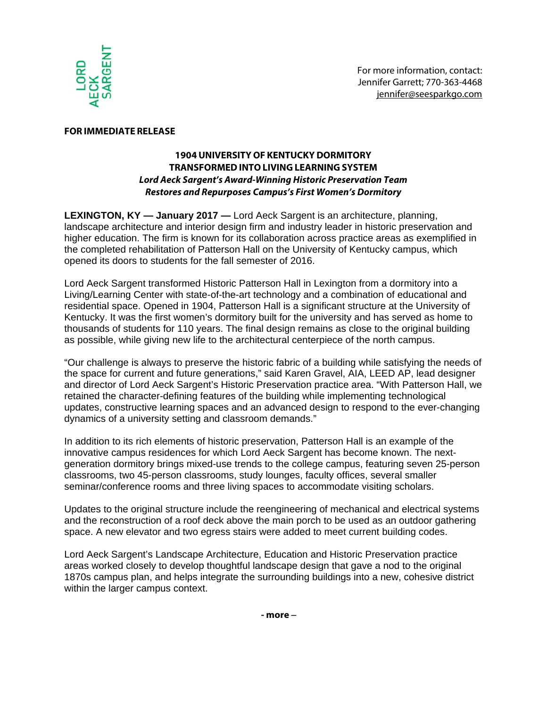

## **FOR IMMEDIATE RELEASE**

## **1904UNIVERSITY OF KENTUCKYDORMITORY TRANSFORMEDINTO LIVING LEARNINGSYSTEM Lord Aeck Sargent's Award-Winning Historic Preservation Team Restores and Repurposes Campus's First Women's Dormitory**

**LEXINGTON, KY — January 2017 —** Lord Aeck Sargent is an architecture, planning, landscape architecture and interior design firm and industry leader in historic preservation and higher education. The firm is known for its collaboration across practice areas as exemplified in the completed rehabilitation of Patterson Hall on the University of Kentucky campus, which opened its doors to students for the fall semester of 2016.

Lord Aeck Sargent transformed Historic Patterson Hall in Lexington from a dormitory into a Living/Learning Center with state-of-the-art technology and a combination of educational and residential space. Opened in 1904, Patterson Hall is a significant structure at the University of Kentucky. It was the first women's dormitory built for the university and has served as home to thousands of students for 110 years. The final design remains as close to the original building as possible, while giving new life to the architectural centerpiece of the north campus.

"Our challenge is always to preserve the historic fabric of a building while satisfying the needs of the space for current and future generations," said Karen Gravel, AIA, LEED AP, lead designer and director of Lord Aeck Sargent's Historic Preservation practice area. "With Patterson Hall, we retained the character-defining features of the building while implementing technological updates, constructive learning spaces and an advanced design to respond to the ever-changing dynamics of a university setting and classroom demands."

In addition to its rich elements of historic preservation, Patterson Hall is an example of the innovative campus residences for which Lord Aeck Sargent has become known. The nextgeneration dormitory brings mixed-use trends to the college campus, featuring seven 25-person classrooms, two 45-person classrooms, study lounges, faculty offices, several smaller seminar/conference rooms and three living spaces to accommodate visiting scholars.

Updates to the original structure include the reengineering of mechanical and electrical systems and the reconstruction of a roof deck above the main porch to be used as an outdoor gathering space. A new elevator and two egress stairs were added to meet current building codes.

Lord Aeck Sargent's Landscape Architecture, Education and Historic Preservation practice areas worked closely to develop thoughtful landscape design that gave a nod to the original 1870s campus plan, and helps integrate the surrounding buildings into a new, cohesive district within the larger campus context.

**- more** –